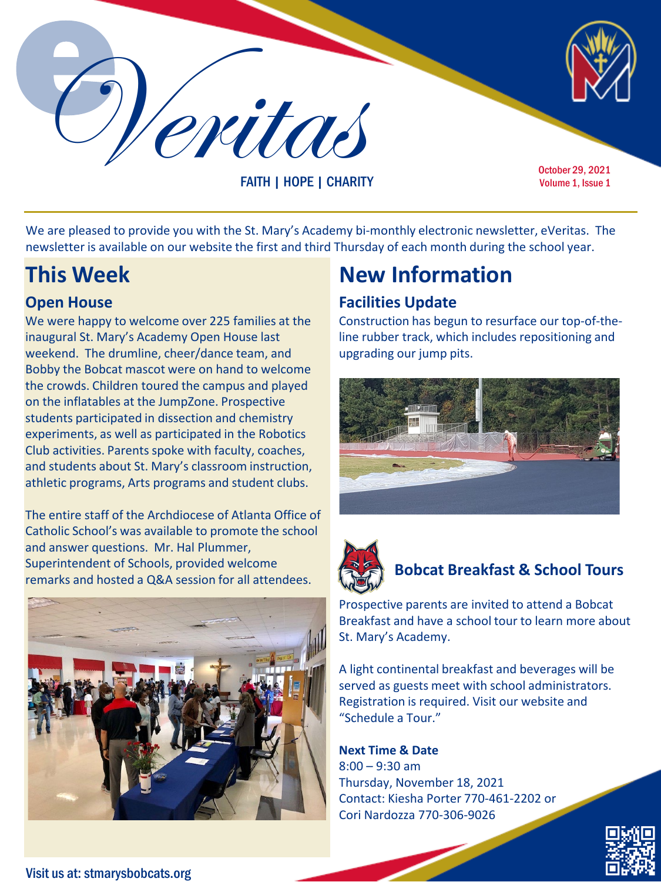Veritas

FAITH | HOPE | CHARITY

October 29, 2021 Volume 1, Issue 1

We are pleased to provide you with the St. Mary's Academy bi-monthly electronic newsletter, eVeritas. The newsletter is available on our website the first and third Thursday of each month during the school year.

#### **Open House**

We were happy to welcome over 225 families at the inaugural St. Mary's Academy Open House last weekend. The drumline, cheer/dance team, and Bobby the Bobcat mascot were on hand to welcome the crowds. Children toured the campus and played on the inflatables at the JumpZone. Prospective students participated in dissection and chemistry experiments, as well as participated in the Robotics Club activities. Parents spoke with faculty, coaches, and students about St. Mary's classroom instruction, athletic programs, Arts programs and student clubs.

The entire staff of the Archdiocese of Atlanta Office of Catholic School's was available to promote the school and answer questions. Mr. Hal Plummer, Superintendent of Schools, provided welcome remarks and hosted a Q&A session for all attendees.



## **This Week New Information**

#### **Facilities Update**

Construction has begun to resurface our top-of-theline rubber track, which includes repositioning and upgrading our jump pits.





### **Bobcat Breakfast & School Tours**

Prospective parents are invited to attend a Bobcat Breakfast and have a school tour to learn more about St. Mary's Academy.

A light continental breakfast and beverages will be served as guests meet with school administrators. Registration is required. Visit our website and "Schedule a Tour."

**Next Time & Date** 8:00 – 9:30 am Thursday, November 18, 2021 Contact: Kiesha Porter 770-461-2202 or Cori Nardozza 770-306-9026



Visit us at: stmarysbobcats.org